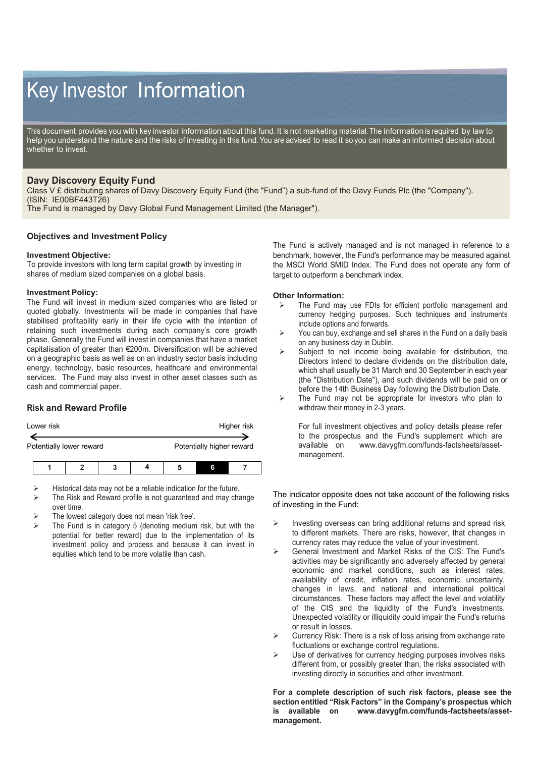# Key Investor Information

This document provides you with key investor information about this fund. It is not marketing material. The information is required by law to help you understand the nature and the risks of investing in this fund. You are advised to read it so you can make an informed decision about whether to invest.

# **Davy Discovery Equity Fund**

Class V £ distributing shares of Davy Discovery Equity Fund (the "Fund") a sub-fund of the Davy Funds Plc (the "Company"). (ISIN: IE00BF443T26)

The Fund is managed by Davy Global Fund Management Limited (the Manager").

## **Objectives and Investment Policy**

### **Investment Objective:**

To provide investors with long term capital growth by investing in shares of medium sized companies on a global basis.

### **Investment Policy:**

The Fund will invest in medium sized companies who are listed or quoted globally. Investments will be made in companies that have stabilised profitability early in their life cycle with the intention of retaining such investments during each company's core growth phase. Generally the Fund will invest in companies that have a market capitalisation of greater than €200m. Diversification will be achieved on a geographic basis as well as on an industry sector basis including energy, technology, basic resources, healthcare and environmental services. The Fund may also invest in other asset classes such as cash and commercial paper.

## **Risk and Reward Profile**

| Lower risk | Higher risk |
|------------|-------------|
|            |             |

Potentially lower reward **Potentially higher reward** 

- Historical data may not be a reliable indication for the future.
- The Risk and Reward profile is not guaranteed and may change over time.
- The lowest category does not mean 'risk free'.
- The Fund is in category 5 (denoting medium risk, but with the potential for better reward) due to the implementation of its investment policy and process and because it can invest in equities which tend to be more volatile than cash.

The Fund is actively managed and is not managed in reference to a benchmark, however, the Fund's performance may be measured against the MSCI World SMID Index. The Fund does not operate any form of target to outperform a benchmark index.

### **Other Information:**

- The Fund may use FDIs for efficient portfolio management and currency hedging purposes. Such techniques and instruments include options and forwards.
- $\triangleright$  You can buy, exchange and sell shares in the Fund on a daily basis on any business day in Dublin.
- $\triangleright$  Subject to net income being available for distribution, the Directors intend to declare dividends on the distribution date, which shall usually be 31 March and 30 September in each year (the "Distribution Date"), and such dividends will be paid on or before the 14th Business Day following the Distribution Date.
- $\triangleright$  The Fund may not be appropriate for investors who plan to withdraw their money in 2-3 years.

For full investment objectives and policy details please refer to the prospectus and the Fund's supplement which are available on www.davvafm.com/funds-factsheets/assetwww.davygfm.com/funds-factsheets/assetmanagement.

The indicator opposite does not take account of the following risks of investing in the Fund:

- $\triangleright$  Investing overseas can bring additional returns and spread risk to different markets. There are risks, however, that changes in currency rates may reduce the value of your investment.
- General Investment and Market Risks of the CIS: The Fund's activities may be significantly and adversely affected by general economic and market conditions, such as interest rates, availability of credit, inflation rates, economic uncertainty, changes in laws, and national and international political circumstances. These factors may affect the level and volatility of the CIS and the liquidity of the Fund's investments. Unexpected volatility or illiquidity could impair the Fund's returns or result in losses.
- $\triangleright$  Currency Risk: There is a risk of loss arising from exchange rate fluctuations or exchange control regulations.
- Use of derivatives for currency hedging purposes involves risks different from, or possibly greater than, the risks associated with investing directly in securities and other investment.

**For a complete description of such risk factors, please see the section entitled "Risk Factors" in the Company's prospectus which is available on www.davygfm.com/funds-factsheets/assetmanagement.**